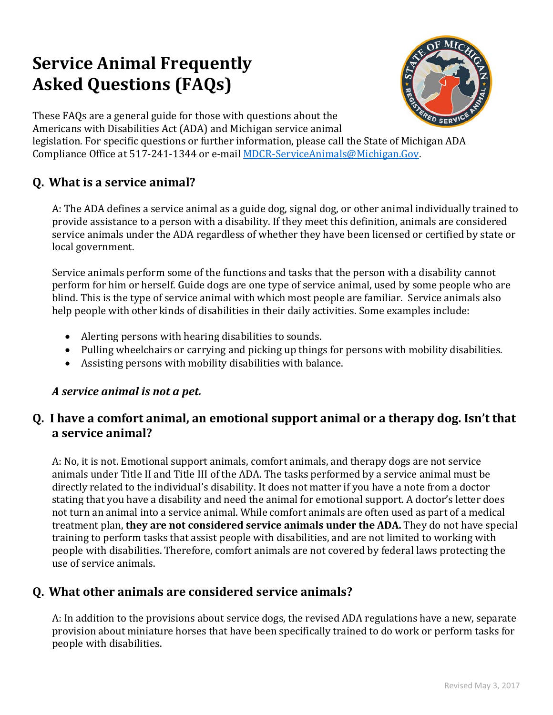# **Service Animal Frequently Asked Questions (FAQs)**



These FAQs are a general guide for those with questions about the Americans with Disabilities Act (ADA) and Michigan service animal

legislation. For specific questions or further information, please call the State of Michigan ADA Compliance Office at 517-241-1344 or e-mail [MDCR-ServiceAnimals@Michigan.Gov.](mailto:MDCR-ServiceAnimals@Michigan.Gov)

# **Q. What is a service animal?**

A: The ADA defines a service animal as a guide dog, signal dog, or other animal individually trained to provide assistance to a person with a disability. If they meet this definition, animals are considered service animals under the ADA regardless of whether they have been licensed or certified by state or local government.

Service animals perform some of the functions and tasks that the person with a disability cannot perform for him or herself. Guide dogs are one type of service animal, used by some people who are blind. This is the type of service animal with which most people are familiar. Service animals also help people with other kinds of disabilities in their daily activities. Some examples include:

- Alerting persons with hearing disabilities to sounds.
- Pulling wheelchairs or carrying and picking up things for persons with mobility disabilities.
- Assisting persons with mobility disabilities with balance.

#### *A service animal is not a pet.*

#### **Q. I have a comfort animal, an emotional support animal or a therapy dog. Isn't that a service animal?**

A: No, it is not. Emotional support animals, comfort animals, and therapy dogs are not service animals under Title II and Title III of the ADA. The tasks performed by a service animal must be directly related to the individual's disability. It does not matter if you have a note from a doctor stating that you have a disability and need the animal for emotional support. A doctor's letter does not turn an animal into a service animal. While comfort animals are often used as part of a medical treatment plan, **they are not considered service animals under the ADA.** They do not have special training to perform tasks that assist people with disabilities, and are not limited to working with people with disabilities. Therefore, comfort animals are not covered by federal laws protecting the use of service animals.

## **Q. What other animals are considered service animals?**

A: In addition to the provisions about service dogs, the revised ADA regulations have a new, separate provision about miniature horses that have been specifically trained to do work or perform tasks for people with disabilities.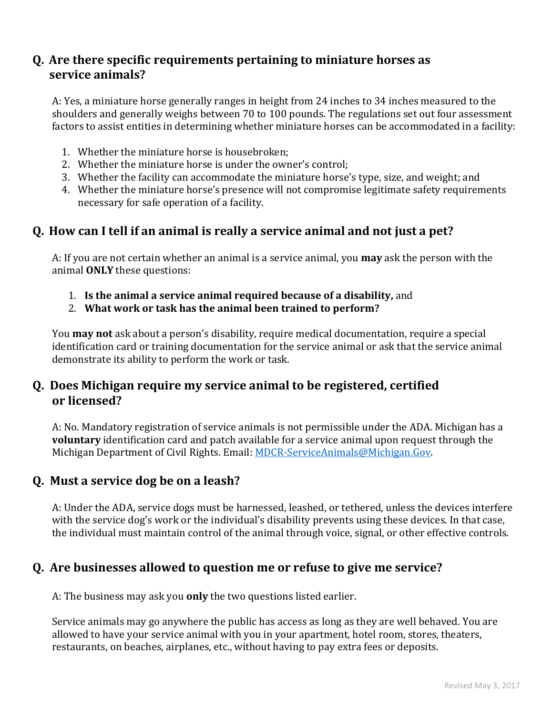#### **Q. Are there specific requirements pertaining to miniature horses as service animals?**

A: Yes, a miniature horse generally ranges in height from 24 inches to 34 inches measured to the shoulders and generally weighs between 70 to 100 pounds. The regulations set out four assessment factors to assist entities in determining whether miniature horses can be accommodated in a facility:

- 1. Whether the miniature horse is housebroken;
- 2. Whether the miniature horse is under the owner's control;
- 3. Whether the facility can accommodate the miniature horse's type, size, and weight; and
- 4. Whether the miniature horse's presence will not compromise legitimate safety requirements necessary for safe operation of a facility.

#### **Q. How can I tell if an animal is really a service animal and not just a pet?**

A: If you are not certain whether an animal is a service animal, you **may** ask the person with the animal **ONLY** these questions:

- 1. **Is the animal a service animal required because of a disability,** and
- 2. **What work or task has the animal been trained to perform?**

You **may not** ask about a person's disability, require medical documentation, require a special identification card or training documentation for the service animal or ask that the service animal demonstrate its ability to perform the work or task.

#### **Q. Does Michigan require my service animal to be registered, certified or licensed?**

A: No. Mandatory registration of service animals is not permissible under the ADA. Michigan has a **voluntary** identification card and patch available for a service animal upon request through the Michigan Department of Civil Rights. Email: [MDCR-ServiceAnimals@Michigan.Gov.](mailto:MDCR-ServiceAnimals@Michigan.Gov)

## **Q. Must a service dog be on a leash?**

A: Under the ADA, service dogs must be harnessed, leashed, or tethered, unless the devices interfere with the service dog's work or the individual's disability prevents using these devices. In that case, the individual must maintain control of the animal through voice, signal, or other effective controls.

#### **Q. Are businesses allowed to question me or refuse to give me service?**

A: The business may ask you **only** the two questions listed earlier.

Service animals may go anywhere the public has access as long as they are well behaved. You are allowed to have your service animal with you in your apartment, hotel room, stores, theaters, restaurants, on beaches, airplanes, etc., without having to pay extra fees or deposits.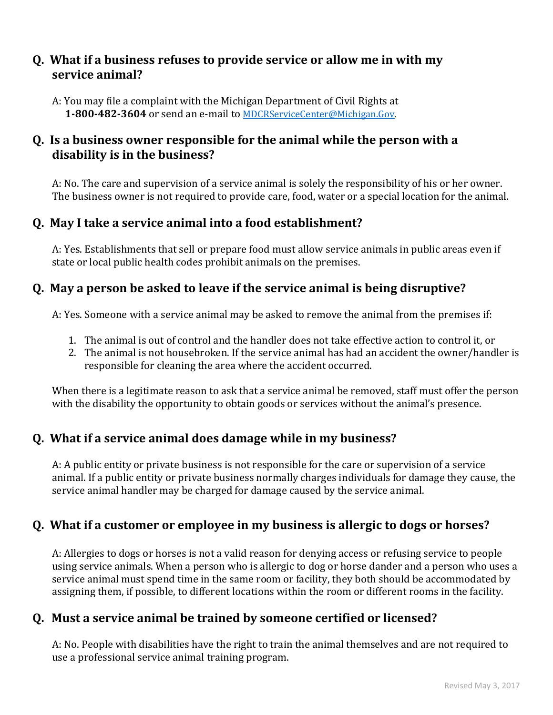#### **Q. What if a business refuses to provide service or allow me in with my service animal?**

A: You may file a complaint with the Michigan Department of Civil Rights at **1-800-482-3604** or send an e-mail to [MDCRServiceCenter@Michigan.Gov.](mailto:MDCRServiceCenter@Michigan.Gov)

## **Q. Is a business owner responsible for the animal while the person with a disability is in the business?**

A: No. The care and supervision of a service animal is solely the responsibility of his or her owner. The business owner is not required to provide care, food, water or a special location for the animal.

## **Q. May I take a service animal into a food establishment?**

A: Yes. Establishments that sell or prepare food must allow service animals in public areas even if state or local public health codes prohibit animals on the premises.

#### **Q. May a person be asked to leave if the service animal is being disruptive?**

A: Yes. Someone with a service animal may be asked to remove the animal from the premises if:

- 1. The animal is out of control and the handler does not take effective action to control it, or
- 2. The animal is not housebroken. If the service animal has had an accident the owner/handler is responsible for cleaning the area where the accident occurred.

When there is a legitimate reason to ask that a service animal be removed, staff must offer the person with the disability the opportunity to obtain goods or services without the animal's presence.

## **Q. What if a service animal does damage while in my business?**

A: A public entity or private business is not responsible for the care or supervision of a service animal. If a public entity or private business normally charges individuals for damage they cause, the service animal handler may be charged for damage caused by the service animal.

# **Q. What if a customer or employee in my business is allergic to dogs or horses?**

A: Allergies to dogs or horses is not a valid reason for denying access or refusing service to people using service animals. When a person who is allergic to dog or horse dander and a person who uses a service animal must spend time in the same room or facility, they both should be accommodated by assigning them, if possible, to different locations within the room or different rooms in the facility.

## **Q. Must a service animal be trained by someone certified or licensed?**

A: No. People with disabilities have the right to train the animal themselves and are not required to use a professional service animal training program.